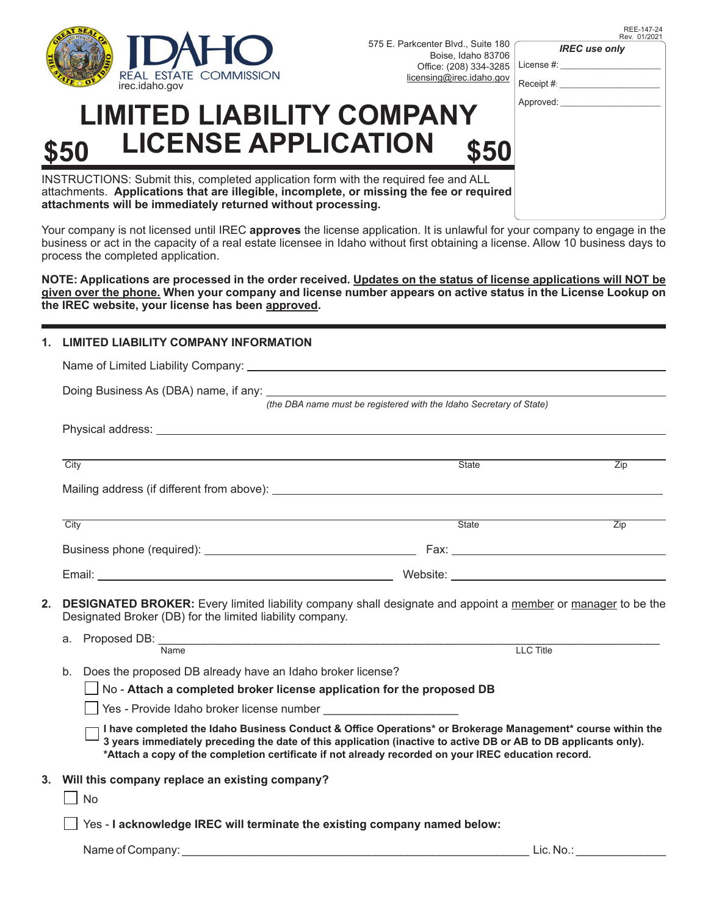

575 E. Parkcenter Blvd., Suite 180 Boise, Idaho 83706 Office: (208) 334-3285

REE-147-24 Rev. 01/202

*IREC use only*

| Office: (208) 334-3285             | License #:                                       |
|------------------------------------|--------------------------------------------------|
| nsing@irec.idaho.gov               | Receipt #:                                       |
| ANY                                | Approved:                                        |
| \$50                               |                                                  |
| I fee and ALL<br>e fee or required |                                                  |
|                                    | It is unlowful for your company to engage in the |

## **LIMITED LIABILITY COMP \$50 LICENSE APPLICATION \$50**

INSTRUCTIONS: Submit this, completed application form with the required attachments. Applications that are illegible, incomplete, or missing the **attachments will be immediately returned without processing.**

Your company is not licensed until IREC **approves** the license application. It is unlawful for your company to engage in the business or act in the capacity of a real estate licensee in Idaho without first obtaining a license. Allow 10 business days to process the completed application.

**NOTE: Applications are processed in the order received. Updates on the status of license applications will NOT be given over the phone. When your company and license number appears on active status in the License Lookup on the IREC website, your license has been approved.** 

## **1. LIMITED LIABILITY COMPANY INFORMATION**

|                                                                                                                                                                                 |                                                                                                                                                                                                                                                                                                                                                     | (the DBA name must be registered with the Idaho Secretary of State) |                  |  |
|---------------------------------------------------------------------------------------------------------------------------------------------------------------------------------|-----------------------------------------------------------------------------------------------------------------------------------------------------------------------------------------------------------------------------------------------------------------------------------------------------------------------------------------------------|---------------------------------------------------------------------|------------------|--|
|                                                                                                                                                                                 |                                                                                                                                                                                                                                                                                                                                                     |                                                                     |                  |  |
|                                                                                                                                                                                 | $\overline{City}$                                                                                                                                                                                                                                                                                                                                   | <b>State</b>                                                        | $\overline{Zip}$ |  |
|                                                                                                                                                                                 |                                                                                                                                                                                                                                                                                                                                                     |                                                                     |                  |  |
|                                                                                                                                                                                 | City                                                                                                                                                                                                                                                                                                                                                | State                                                               | $\overline{Zip}$ |  |
|                                                                                                                                                                                 |                                                                                                                                                                                                                                                                                                                                                     |                                                                     |                  |  |
|                                                                                                                                                                                 |                                                                                                                                                                                                                                                                                                                                                     |                                                                     |                  |  |
| DESIGNATED BROKER: Every limited liability company shall designate and appoint a member or manager to be the<br>2.<br>Designated Broker (DB) for the limited liability company. |                                                                                                                                                                                                                                                                                                                                                     |                                                                     |                  |  |
|                                                                                                                                                                                 | а.<br>Name                                                                                                                                                                                                                                                                                                                                          | LLC Title                                                           |                  |  |
|                                                                                                                                                                                 |                                                                                                                                                                                                                                                                                                                                                     |                                                                     |                  |  |
|                                                                                                                                                                                 | b.<br>Does the proposed DB already have an Idaho broker license?<br>No - Attach a completed broker license application for the proposed DB                                                                                                                                                                                                          |                                                                     |                  |  |
|                                                                                                                                                                                 | Yes - Provide Idaho broker license number                                                                                                                                                                                                                                                                                                           |                                                                     |                  |  |
|                                                                                                                                                                                 | I have completed the Idaho Business Conduct & Office Operations* or Brokerage Management* course within the<br>$^{\text{!}}$ 3 years immediately preceding the date of this application (inactive to active DB or AB to DB applicants only).<br>*Attach a copy of the completion certificate if not already recorded on your IREC education record. |                                                                     |                  |  |
|                                                                                                                                                                                 | 3. Will this company replace an existing company?<br>No                                                                                                                                                                                                                                                                                             |                                                                     |                  |  |
|                                                                                                                                                                                 | Yes - I acknowledge IREC will terminate the existing company named below:                                                                                                                                                                                                                                                                           |                                                                     |                  |  |

Name of Company: \_\_\_\_\_\_\_\_\_\_\_\_\_\_\_\_\_\_\_\_\_\_\_\_\_\_\_\_\_\_\_\_\_\_\_\_\_\_\_\_\_\_\_\_\_\_\_\_\_\_\_\_\_\_ Lic. No.: \_\_\_\_\_\_\_\_\_\_\_\_\_\_